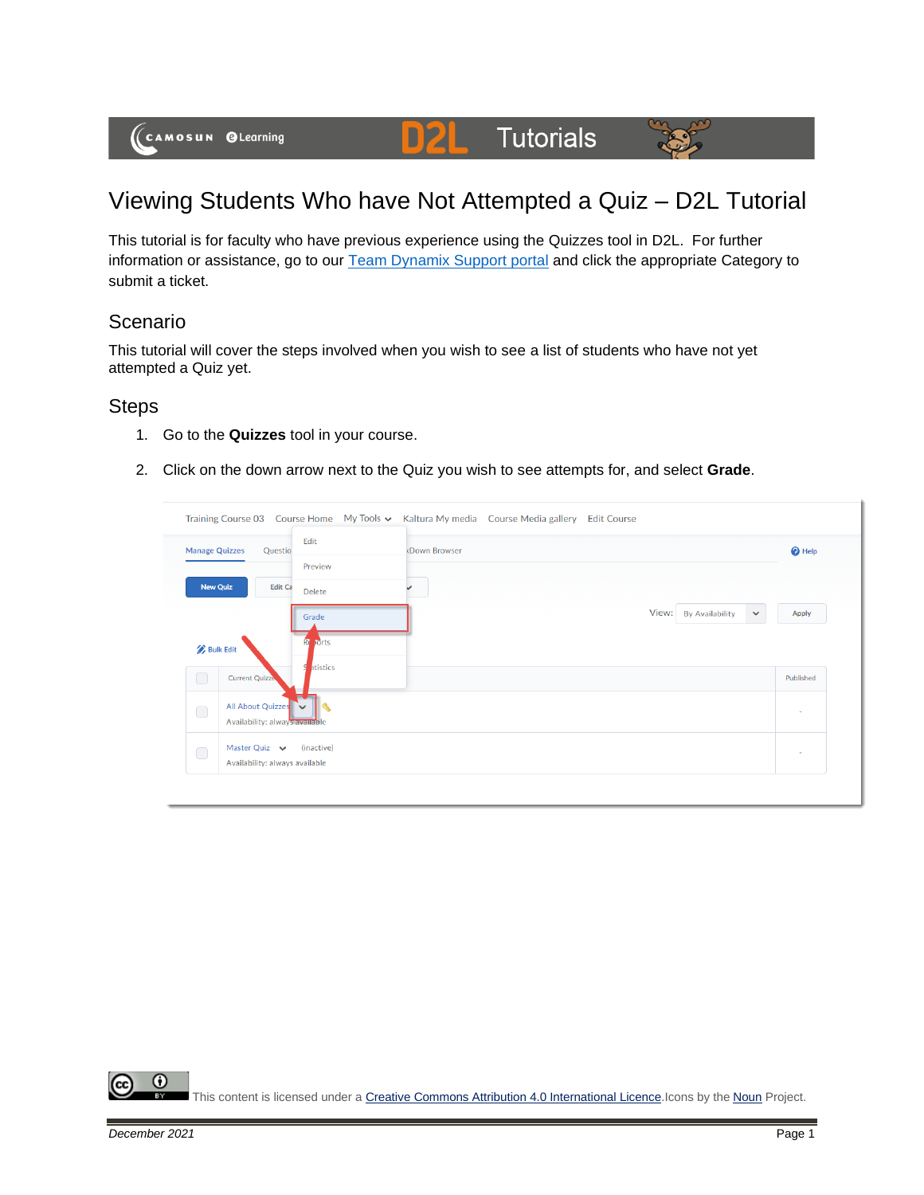

# **Tutorials**



## Viewing Students Who have Not Attempted a Quiz – D2L Tutorial

DŽ

This tutorial is for faculty who have previous experience using the Quizzes tool in D2L. For further information or assistance, go to our [Team Dynamix Support portal](https://camosun.teamdynamix.com/TDClient/67/Portal/Requests/ServiceCatalog?CategoryID=523) and click the appropriate Category to submit a ticket.

#### Scenario

This tutorial will cover the steps involved when you wish to see a list of students who have not yet attempted a Quiz yet.

#### **Steps**

- 1. Go to the **Quizzes** tool in your course.
- 2. Click on the down arrow next to the Quiz you wish to see attempts for, and select **Grade**.

|            | <b>Manage Quizzes</b><br>Questio                     | Edit            | <b>(Down Browser</b> |                                                 | <sup>O</sup> Help |
|------------|------------------------------------------------------|-----------------|----------------------|-------------------------------------------------|-------------------|
|            |                                                      | Preview         |                      |                                                 |                   |
|            | <b>New Quiz</b><br><b>Edit Ca</b>                    | Delete          |                      |                                                 |                   |
|            |                                                      | Grade           |                      | View:<br><b>By Availability</b><br>$\checkmark$ | Apply             |
|            | <b>Bulk Edit</b>                                     | Re ports        |                      |                                                 |                   |
| $\Box$     | <b>Current Quizze</b>                                | <b>Atistics</b> |                      |                                                 | Published         |
| $\bigcirc$ | All About Quizzes<br>Availability: always available  | - -             |                      |                                                 | $\blacksquare$    |
| $\bigcirc$ | Master Quiz $\vee$<br>Availability: always available | (inactive)      |                      |                                                 | $\sim$            |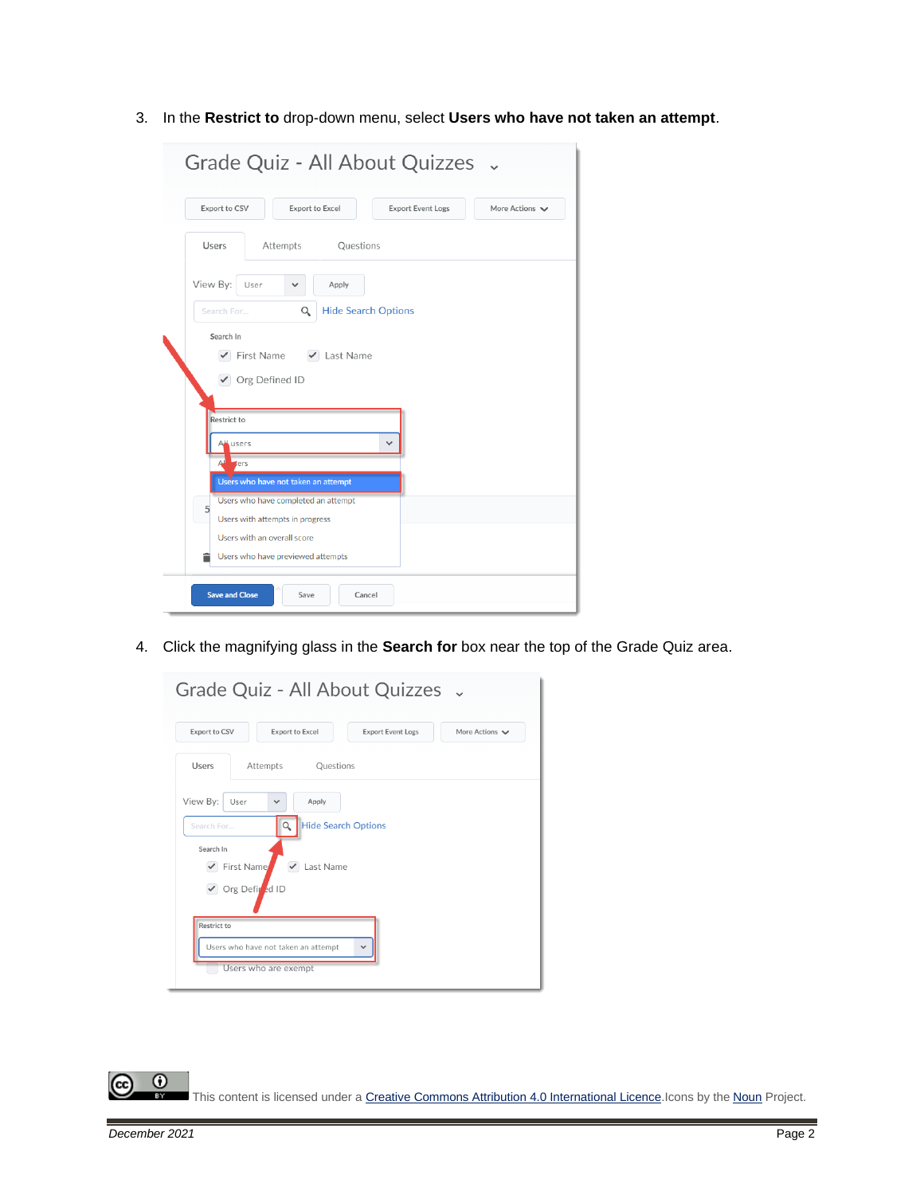3. In the **Restrict to** drop-down menu, select **Users who have not taken an attempt**.

| Export to CSV               |                  | <b>Export to Excel</b>                                                 |                            | <b>Export Event Logs</b> | More Actions V |
|-----------------------------|------------------|------------------------------------------------------------------------|----------------------------|--------------------------|----------------|
| Users                       |                  | Attempts                                                               | Ouestions                  |                          |                |
| View By:                    | User             | Apply<br>$\checkmark$                                                  |                            |                          |                |
| Search For                  |                  | Q                                                                      | <b>Hide Search Options</b> |                          |                |
| Search In                   | ✔ Org Defined ID | $\checkmark$ First Name $\checkmark$ Last Name                         |                            |                          |                |
| <b>Restrict to</b><br>users |                  |                                                                        |                            |                          |                |
| <b>sers</b>                 |                  | Users who have not taken an attempt                                    |                            |                          |                |
| 5 <sup>1</sup>              |                  | Users who have completed an attempt<br>Users with attempts in progress |                            |                          |                |

4. Click the magnifying glass in the **Search for** box near the top of the Grade Quiz area.

| Grade Quiz - All About Quizzes .                                                      |  |  |  |  |  |  |
|---------------------------------------------------------------------------------------|--|--|--|--|--|--|
| Export to CSV<br><b>Export to Excel</b><br><b>Export Event Logs</b><br>More Actions V |  |  |  |  |  |  |
| Users<br>Attempts<br><b>Questions</b>                                                 |  |  |  |  |  |  |
| View By:<br>User<br>Apply<br>$\checkmark$                                             |  |  |  |  |  |  |
| <b>Hide Search Options</b><br>Q<br>Search For                                         |  |  |  |  |  |  |
| Search In<br>$\blacktriangleright$ Last Name<br>$\checkmark$ First Name               |  |  |  |  |  |  |
| ✔ Org Defined ID                                                                      |  |  |  |  |  |  |
| Restrict to                                                                           |  |  |  |  |  |  |
| Users who have not taken an attempt<br>$\checkmark$                                   |  |  |  |  |  |  |
| Users who are exempt                                                                  |  |  |  |  |  |  |

 $\overline{\odot}$ (cc This content is licensed under [a Creative Commons Attribution 4.0 International Licence.I](https://creativecommons.org/licenses/by/4.0/)cons by the [Noun](https://creativecommons.org/website-icons/) Project.